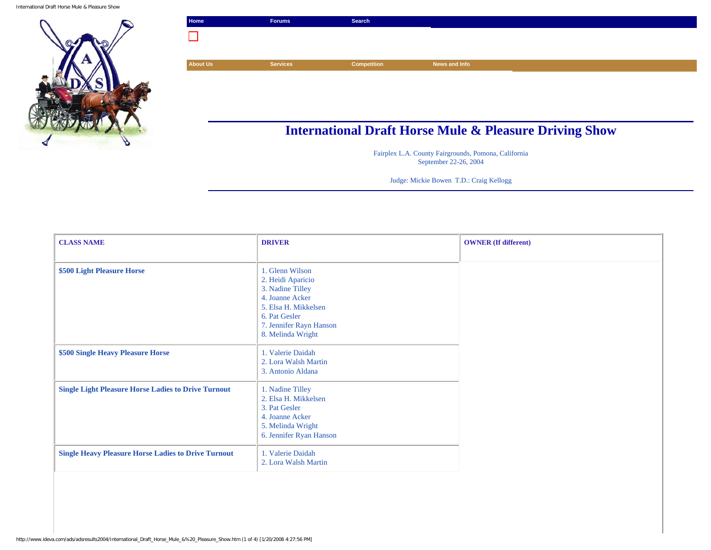

| Home            | <b>Forums</b>   | <b>Search</b>      |                                                                   |
|-----------------|-----------------|--------------------|-------------------------------------------------------------------|
|                 |                 |                    |                                                                   |
|                 |                 |                    |                                                                   |
| <b>About Us</b> | <b>Services</b> | <b>Competition</b> | News and Info                                                     |
|                 |                 |                    |                                                                   |
|                 |                 |                    |                                                                   |
|                 |                 |                    |                                                                   |
|                 |                 |                    |                                                                   |
|                 |                 |                    | <b>International Draft Horse Mule &amp; Pleasure Driving Show</b> |

Fairplex L.A. County Fairgrounds, Pomona, California September 22-26, 2004

Judge: Mickie Bowen T.D.: Craig Kellogg

| <b>CLASS NAME</b>                                          | <b>DRIVER</b>                                                                                                                                                        | <b>OWNER</b> (If different) |  |
|------------------------------------------------------------|----------------------------------------------------------------------------------------------------------------------------------------------------------------------|-----------------------------|--|
| \$500 Light Pleasure Horse                                 | 1. Glenn Wilson<br>2. Heidi Aparicio<br>3. Nadine Tilley<br>4. Joanne Acker<br>5. Elsa H. Mikkelsen<br>6. Pat Gesler<br>7. Jennifer Rayn Hanson<br>8. Melinda Wright |                             |  |
| \$500 Single Heavy Pleasure Horse                          | 1. Valerie Daidah<br>2. Lora Walsh Martin<br>3. Antonio Aldana                                                                                                       |                             |  |
| <b>Single Light Pleasure Horse Ladies to Drive Turnout</b> | 1. Nadine Tilley<br>2. Elsa H. Mikkelsen<br>3. Pat Gesler<br>4. Joanne Acker<br>5. Melinda Wright<br>6. Jennifer Ryan Hanson                                         |                             |  |
| <b>Single Heavy Pleasure Horse Ladies to Drive Turnout</b> | 1. Valerie Daidah<br>2. Lora Walsh Martin                                                                                                                            |                             |  |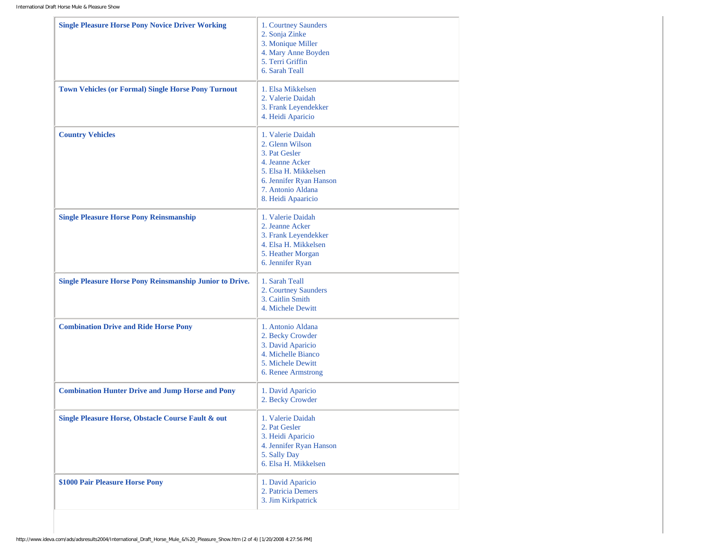| <b>Single Pleasure Horse Pony Novice Driver Working</b>         | 1. Courtney Saunders<br>2. Sonja Zinke<br>3. Monique Miller<br>4. Mary Anne Boyden<br>5. Terri Griffin<br>6. Sarah Teall                                               |
|-----------------------------------------------------------------|------------------------------------------------------------------------------------------------------------------------------------------------------------------------|
| <b>Town Vehicles (or Formal) Single Horse Pony Turnout</b>      | 1. Elsa Mikkelsen<br>2. Valerie Daidah<br>3. Frank Leyendekker<br>4. Heidi Aparicio                                                                                    |
| <b>Country Vehicles</b>                                         | 1. Valerie Daidah<br>2. Glenn Wilson<br>3. Pat Gesler<br>4. Jeanne Acker<br>5. Elsa H. Mikkelsen<br>6. Jennifer Ryan Hanson<br>7. Antonio Aldana<br>8. Heidi Apaaricio |
| <b>Single Pleasure Horse Pony Reinsmanship</b>                  | 1. Valerie Daidah<br>2. Jeanne Acker<br>3. Frank Leyendekker<br>4. Elsa H. Mikkelsen<br>5. Heather Morgan<br>6. Jennifer Ryan                                          |
| <b>Single Pleasure Horse Pony Reinsmanship Junior to Drive.</b> | 1. Sarah Teall<br>2. Courtney Saunders<br>3. Caitlin Smith<br>4. Michele Dewitt                                                                                        |
| <b>Combination Drive and Ride Horse Pony</b>                    | 1. Antonio Aldana<br>2. Becky Crowder<br>3. David Aparicio<br>4. Michelle Bianco<br>5. Michele Dewitt<br>6. Renee Armstrong                                            |
| <b>Combination Hunter Drive and Jump Horse and Pony</b>         | 1. David Aparicio<br>2. Becky Crowder                                                                                                                                  |
| Single Pleasure Horse, Obstacle Course Fault & out              | 1. Valerie Daidah<br>2. Pat Gesler<br>3. Heidi Aparicio<br>4. Jennifer Ryan Hanson<br>5. Sally Day<br>6. Elsa H. Mikkelsen                                             |
| \$1000 Pair Pleasure Horse Pony                                 | 1. David Aparicio<br>2. Patricia Demers<br>3. Jim Kirkpatrick                                                                                                          |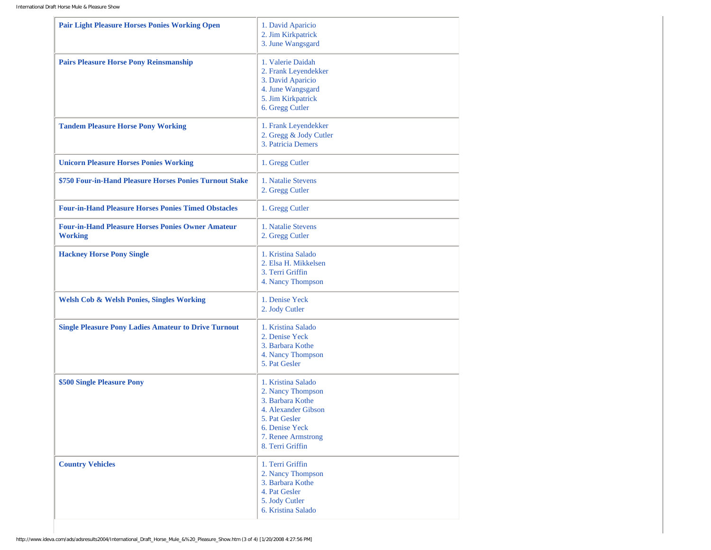| <b>Pair Light Pleasure Horses Ponies Working Open</b>                      | 1. David Aparicio<br>2. Jim Kirkpatrick<br>3. June Wangsgard                                                                                                    |
|----------------------------------------------------------------------------|-----------------------------------------------------------------------------------------------------------------------------------------------------------------|
| <b>Pairs Pleasure Horse Pony Reinsmanship</b>                              | 1. Valerie Daidah<br>2. Frank Leyendekker<br>3. David Aparicio<br>4. June Wangsgard<br>5. Jim Kirkpatrick<br>6. Gregg Cutler                                    |
| <b>Tandem Pleasure Horse Pony Working</b>                                  | 1. Frank Leyendekker<br>2. Gregg & Jody Cutler<br>3. Patricia Demers                                                                                            |
| <b>Unicorn Pleasure Horses Ponies Working</b>                              | 1. Gregg Cutler                                                                                                                                                 |
| \$750 Four-in-Hand Pleasure Horses Ponies Turnout Stake                    | 1. Natalie Stevens<br>2. Gregg Cutler                                                                                                                           |
| <b>Four-in-Hand Pleasure Horses Ponies Timed Obstacles</b>                 | 1. Gregg Cutler                                                                                                                                                 |
| <b>Four-in-Hand Pleasure Horses Ponies Owner Amateur</b><br><b>Working</b> | 1. Natalie Stevens<br>2. Gregg Cutler                                                                                                                           |
| <b>Hackney Horse Pony Single</b>                                           | 1. Kristina Salado<br>2. Elsa H. Mikkelsen<br>3. Terri Griffin<br>4. Nancy Thompson                                                                             |
| <b>Welsh Cob &amp; Welsh Ponies, Singles Working</b>                       | 1. Denise Yeck<br>2. Jody Cutler                                                                                                                                |
| <b>Single Pleasure Pony Ladies Amateur to Drive Turnout</b>                | 1. Kristina Salado<br>2. Denise Yeck<br>3. Barbara Kothe<br>4. Nancy Thompson<br>5. Pat Gesler                                                                  |
| \$500 Single Pleasure Pony                                                 | 1. Kristina Salado<br>2. Nancy Thompson<br>3. Barbara Kothe<br>4. Alexander Gibson<br>5. Pat Gesler<br>6. Denise Yeck<br>7. Renee Armstrong<br>8. Terri Griffin |
| <b>Country Vehicles</b>                                                    | 1. Terri Griffin<br>2. Nancy Thompson<br>3. Barbara Kothe<br>4. Pat Gesler<br>5. Jody Cutler<br>6. Kristina Salado                                              |